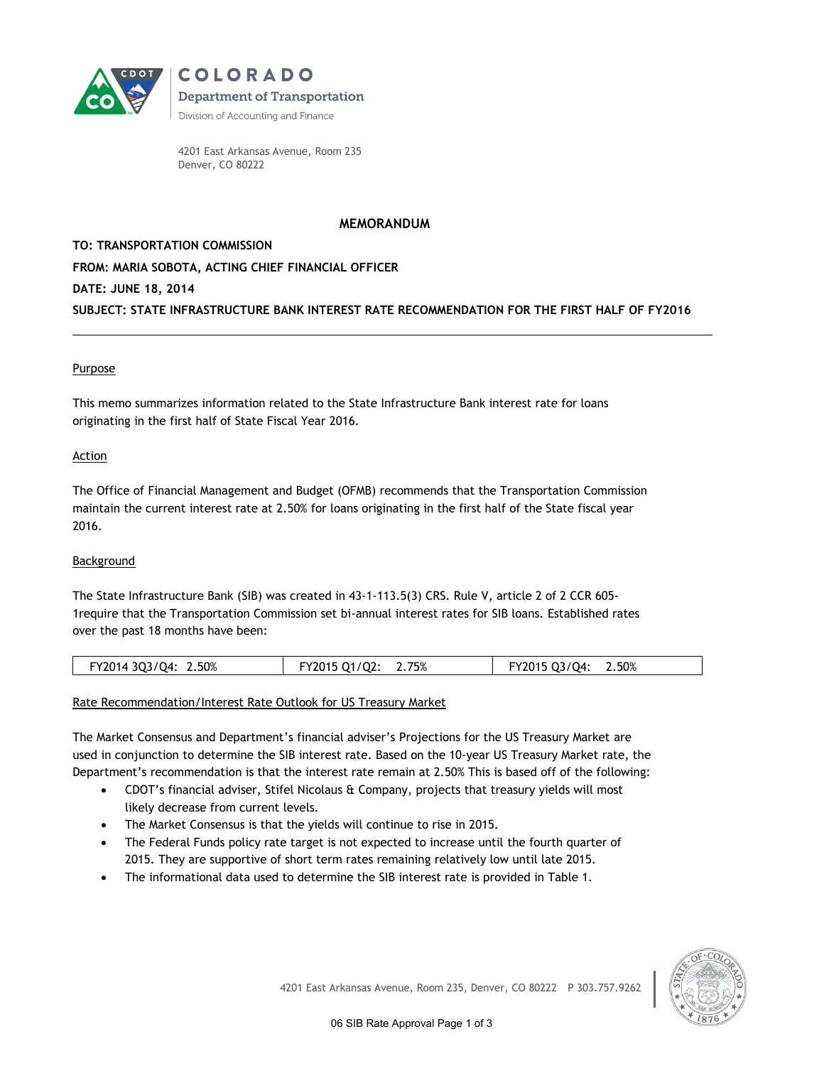

**COLORADO Department of Transportation** Division of Accounting and Finance

4201 East Arkansas Avenue, Room 235 Denver, CO 80222

# **MEMORANDUM**

**TO: TRANSPORTATION COMMISSION FROM: MARIA SOBOTA, ACTING CHIEF FINANCIAL OFFICER DATE: JUNE 18, 2014 SUBJECT: STATE INFRASTRUCTURE BANK INTEREST RATE RECOMMENDATION FOR THE FIRST HALF OF FY2016**

## Purpose

This memo summarizes information related to the State Infrastructure Bank interest rate for loans originating in the first half of State Fiscal Year 2016.

### **Action**

The Office of Financial Management and Budget (OFMB) recommends that the Transportation Commission maintain the current interest rate at 2.50% for loans originating in the first half of the State fiscal year 2016.

## Background

The State Infrastructure Bank (SIB) was created in 43-1-113.5(3) CRS. Rule V, article 2 of 2 CCR 605- 1require that the Transportation Commission set bi-annual interest rates for SIB loans. Established rates over the past 18 months have been:

| FY2014 3Q3/Q4: 2.50% | FY2015 Q1/Q2: 2.75% | 2.50%<br>FY2015 Q3/Q4: |
|----------------------|---------------------|------------------------|
|                      |                     |                        |

### Rate Recommendation/Interest Rate Outlook for US Treasury Market

The Market Consensus and Department's financial adviser's Projections for the US Treasury Market are used in conjunction to determine the SIB interest rate. Based on the 10-year US Treasury Market rate, the Department's recommendation is that the interest rate remain at 2.50% This is based off of the following:

- CDOT's financial adviser, Stifel Nicolaus & Company, projects that treasury yields will most likely decrease from current levels.
- The Market Consensus is that the yields will continue to rise in 2015.
- The Federal Funds policy rate target is not expected to increase until the fourth quarter of 2015. They are supportive of short term rates remaining relatively low until late 2015.
- The informational data used to determine the SIB interest rate is provided in Table 1.

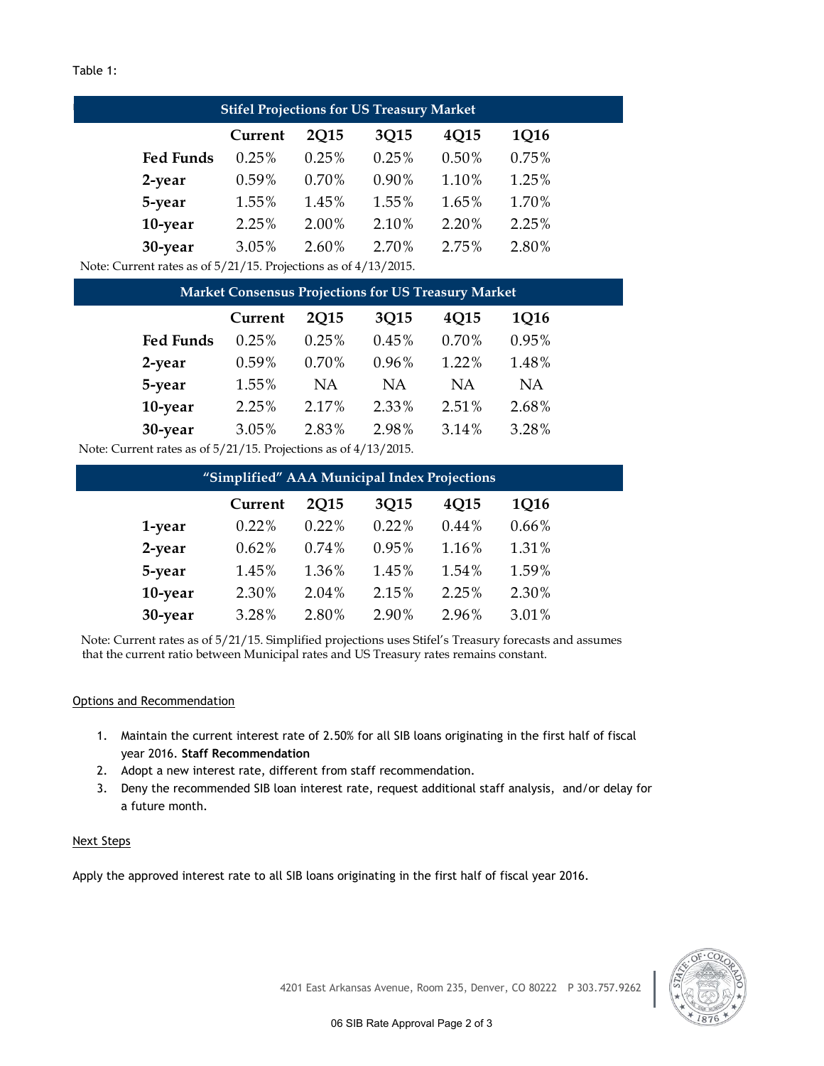## Table 1:

| <b>Stifel Projections for US Treasury Market</b>                  |          |             |       |          |       |
|-------------------------------------------------------------------|----------|-------------|-------|----------|-------|
|                                                                   | Current  | <b>2015</b> | 3Q15  | 4Q15     | 1Q16  |
| <b>Fed Funds</b>                                                  | $0.25\%$ | 0.25%       | 0.25% | $0.50\%$ | 0.75% |
| 2-year                                                            | $0.59\%$ | 0.70%       | 0.90% | 1.10%    | 1.25% |
| 5-year                                                            | 1.55%    | 1.45%       | 1.55% | 1.65%    | 1.70% |
| 10-year                                                           | 2.25%    | 2.00%       | 2.10% | 2.20%    | 2.25% |
| 30-year                                                           | 3.05%    | 2.60%       | 2.70% | 2.75%    | 2.80% |
| Note: Current rates as of $5/21/15$ Projections as of $4/13/2015$ |          |             |       |          |       |

Note: Current rates as of 5/21/15. Projections as of 4/13/2015.

|                                                             | <b>Market Consensus Projections for US Treasury Market</b> |             |           |       |       |  |
|-------------------------------------------------------------|------------------------------------------------------------|-------------|-----------|-------|-------|--|
|                                                             | Current                                                    | <b>2Q15</b> | 3Q15      | 4Q15  | 1Q16  |  |
| <b>Fed Funds</b>                                            | 0.25%                                                      | 0.25%       | 0.45%     | 0.70% | 0.95% |  |
| 2-year                                                      | 0.59%                                                      | 0.70%       | 0.96%     | 1.22% | 1.48% |  |
| 5-year                                                      | 1.55%                                                      | NA          | <b>NA</b> | ΝA    | NA    |  |
| 10-year                                                     | 2.25%                                                      | 2.17%       | 2.33%     | 2.51% | 2.68% |  |
| 30-year                                                     | 3.05%                                                      | 2.83%       | 2.98%     | 3.14% | 3.28% |  |
| Turrent rates as of $5/21/15$ Projections as of $4/13/2015$ |                                                            |             |           |       |       |  |

Note: Current rates as of 5/21/15. Projections as of 4/13/2015.

| "Simplified" AAA Municipal Index Projections |         |             |       |       |          |  |
|----------------------------------------------|---------|-------------|-------|-------|----------|--|
|                                              | Current | <b>2015</b> | 3Q15  | 4Q15  | 1Q16     |  |
| 1-year                                       | 0.22%   | 0.22%       | 0.22% | 0.44% | $0.66\%$ |  |
| 2-year                                       | 0.62%   | 0.74%       | 0.95% | 1.16% | 1.31%    |  |
| 5-year                                       | 1.45%   | 1.36%       | 1.45% | 1.54% | 1.59%    |  |
| 10-year                                      | 2.30%   | 2.04%       | 2.15% | 2.25% | 2.30%    |  |
| 30-year                                      | 3.28%   | 2.80%       | 2.90% | 2.96% | 3.01%    |  |
|                                              |         |             |       |       |          |  |

Note: Current rates as of 5/21/15. Simplified projections uses Stifel's Treasury forecasts and assumes that the current ratio between Municipal rates and US Treasury rates remains constant.

## Options and Recommendation

- 1. Maintain the current interest rate of 2.50% for all SIB loans originating in the first half of fiscal year 2016. **Staff Recommendation**
- 2. Adopt a new interest rate, different from staff recommendation.
- 3. Deny the recommended SIB loan interest rate, request additional staff analysis, and/or delay for a future month.

### Next Steps

Apply the approved interest rate to all SIB loans originating in the first half of fiscal year 2016.